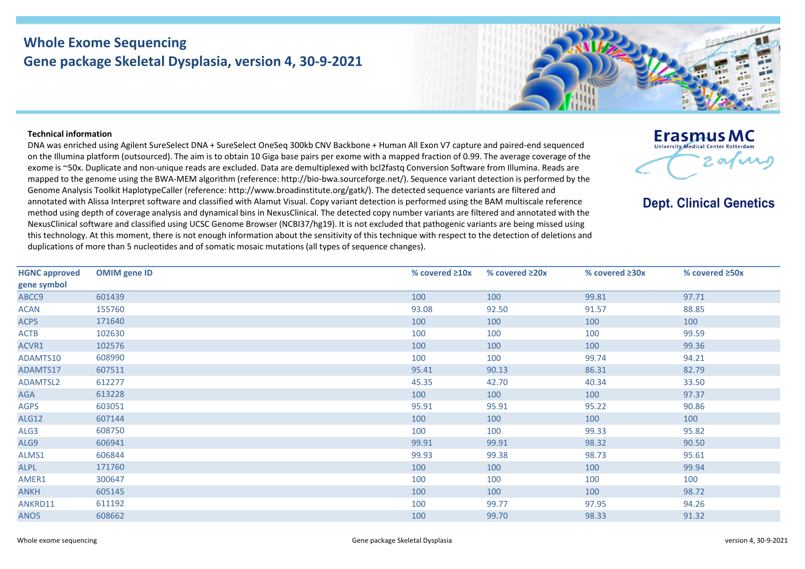## **Whole Exome Sequencing Gene package Skeletal Dysplasia, version 4, 30-9-2021**



## **Technical information**

DNA was enriched using Agilent SureSelect DNA + SureSelect OneSeq 300kb CNV Backbone + Human All Exon V7 capture and paired-end sequenced on the Illumina platform (outsourced). The aim is to obtain 10 Giga base pairs per exome with a mapped fraction of 0.99. The average coverage of the exome is ~50x. Duplicate and non-unique reads are excluded. Data are demultiplexed with bcl2fastq Conversion Software from Illumina. Reads are mapped to the genome using the BWA-MEM algorithm (reference: http://bio-bwa.sourceforge.net/). Sequence variant detection is performed by the Genome Analysis Toolkit HaplotypeCaller (reference: http://www.broadinstitute.org/gatk/). The detected sequence variants are filtered and annotated with Alissa Interpret software and classified with Alamut Visual. Copy variant detection is performed using the BAM multiscale reference method using depth of coverage analysis and dynamical bins in NexusClinical. The detected copy number variants are filtered and annotated with the NexusClinical software and classified using UCSC Genome Browser (NCBI37/hg19). It is not excluded that pathogenic variants are being missed using this technology. At this moment, there is not enough information about the sensitivity of this technique with respect to the detection of deletions and duplications of more than 5 nucleotides and of somatic mosaic mutations (all types of sequence changes).



**Dept. Clinical Genetics** 

| <b>HGNC approved</b> | <b>OMIM</b> gene ID | % covered $\geq 10x$ | % covered $\geq 20x$ | % covered $\geq 30x$ | % covered $\geq$ 50x |
|----------------------|---------------------|----------------------|----------------------|----------------------|----------------------|
| gene symbol          |                     |                      |                      |                      |                      |
| ABCC9                | 601439              | 100                  | 100                  | 99.81                | 97.71                |
| <b>ACAN</b>          | 155760              | 93.08                | 92.50                | 91.57                | 88.85                |
| ACP5                 | 171640              | 100                  | 100                  | 100                  | 100                  |
| <b>ACTB</b>          | 102630              | 100                  | 100                  | 100                  | 99.59                |
| ACVR1                | 102576              | 100                  | 100                  | 100                  | 99.36                |
| ADAMTS10             | 608990              | 100                  | 100                  | 99.74                | 94.21                |
| ADAMTS17             | 607511              | 95.41                | 90.13                | 86.31                | 82.79                |
| ADAMTSL2             | 612277              | 45.35                | 42.70                | 40.34                | 33.50                |
| AGA                  | 613228              | 100                  | 100                  | 100                  | 97.37                |
| <b>AGPS</b>          | 603051              | 95.91                | 95.91                | 95.22                | 90.86                |
| <b>ALG12</b>         | 607144              | 100                  | 100                  | 100                  | 100                  |
| ALG3                 | 608750              | 100                  | 100                  | 99.33                | 95.82                |
| ALG9                 | 606941              | 99.91                | 99.91                | 98.32                | 90.50                |
| ALMS1                | 606844              | 99.93                | 99.38                | 98.73                | 95.61                |
| <b>ALPL</b>          | 171760              | 100                  | 100                  | 100                  | 99.94                |
| AMER1                | 300647              | 100                  | 100                  | 100                  | 100                  |
| <b>ANKH</b>          | 605145              | 100                  | 100                  | 100                  | 98.72                |
| ANKRD11              | 611192              | 100                  | 99.77                | 97.95                | 94.26                |
| ANO <sub>5</sub>     | 608662              | 100                  | 99.70                | 98.33                | 91.32                |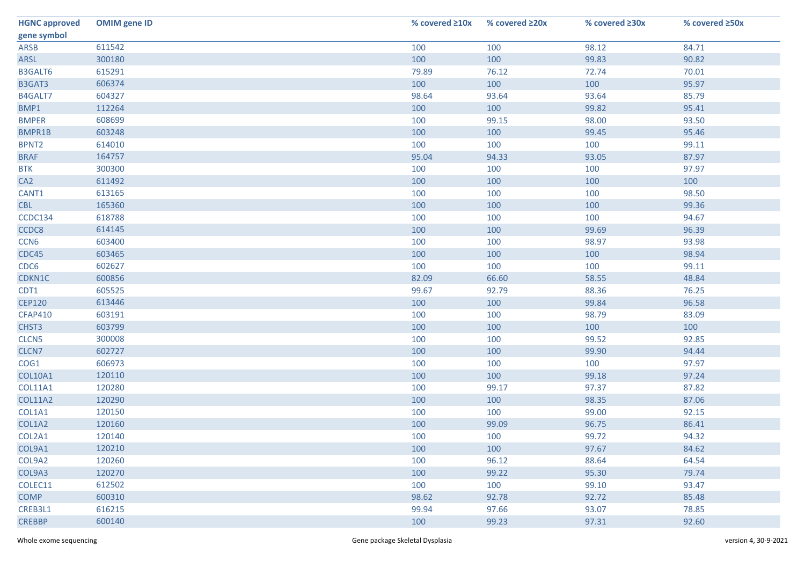| <b>HGNC approved</b> | <b>OMIM</b> gene ID | % covered ≥10x | % covered ≥20x | % covered ≥30x | % covered ≥50x |
|----------------------|---------------------|----------------|----------------|----------------|----------------|
| gene symbol          |                     |                |                |                |                |
| <b>ARSB</b>          | 611542              | 100            | 100            | 98.12          | 84.71          |
| ARSL                 | 300180              | 100            | 100            | 99.83          | 90.82          |
| <b>B3GALT6</b>       | 615291              | 79.89          | 76.12          | 72.74          | 70.01          |
| B3GAT3               | 606374              | 100            | 100            | 100            | 95.97          |
| B4GALT7              | 604327              | 98.64          | 93.64          | 93.64          | 85.79          |
| BMP1                 | 112264              | 100            | 100            | 99.82          | 95.41          |
| <b>BMPER</b>         | 608699              | 100            | 99.15          | 98.00          | 93.50          |
| BMPR1B               | 603248              | 100            | 100            | 99.45          | 95.46          |
| BPNT <sub>2</sub>    | 614010              | 100            | 100            | 100            | 99.11          |
| <b>BRAF</b>          | 164757              | 95.04          | 94.33          | 93.05          | 87.97          |
| <b>BTK</b>           | 300300              | 100            | 100            | 100            | 97.97          |
| CA <sub>2</sub>      | 611492              | 100            | 100            | 100            | 100            |
| CANT1                | 613165              | 100            | 100            | 100            | 98.50          |
| <b>CBL</b>           | 165360              | 100            | 100            | 100            | 99.36          |
| CCDC134              | 618788              | 100            | 100            | 100            | 94.67          |
| CCDC8                | 614145              | 100            | 100            | 99.69          | 96.39          |
| CCN <sub>6</sub>     | 603400              | 100            | 100            | 98.97          | 93.98          |
| CDC45                | 603465              | 100            | 100            | 100            | 98.94          |
| CDC6                 | 602627              | 100            | 100            | 100            | 99.11          |
| CDKN1C               | 600856              | 82.09          | 66.60          | 58.55          | 48.84          |
| CDT1                 | 605525              | 99.67          | 92.79          | 88.36          | 76.25          |
| <b>CEP120</b>        | 613446              | 100            | 100            | 99.84          | 96.58          |
| <b>CFAP410</b>       | 603191              | 100            | 100            | 98.79          | 83.09          |
| CHST3                | 603799              | 100            | 100            | 100            | 100            |
| CLCN5                | 300008              | 100            | 100            | 99.52          | 92.85          |
| CLCN7                | 602727              | 100            | 100            | 99.90          | 94.44          |
| COG1                 | 606973              | 100            | 100            | 100            | 97.97          |
| COL10A1              | 120110              | 100            | 100            | 99.18          | 97.24          |
| <b>COL11A1</b>       | 120280              | 100            | 99.17          | 97.37          | 87.82          |
| <b>COL11A2</b>       | 120290              | 100            | 100            | 98.35          | 87.06          |
| COL1A1               | 120150              | 100            | 100            | 99.00          | 92.15          |
| COL1A2               | 120160              | 100            | 99.09          | 96.75          | 86.41          |
| COL2A1               | 120140              | 100            | 100            | 99.72          | 94.32          |
| COL9A1               | 120210              | 100            | 100            | 97.67          | 84.62          |
| COL9A2               | 120260              | 100            | 96.12          | 88.64          | 64.54          |
| COL9A3               | 120270              | 100            | 99.22          | 95.30          | 79.74          |
| COLEC11              | 612502              | 100            | 100            | 99.10          | 93.47          |
| <b>COMP</b>          | 600310              | 98.62          | 92.78          | 92.72          | 85.48          |
| CREB3L1              | 616215              | 99.94          | 97.66          | 93.07          | 78.85          |
| <b>CREBBP</b>        | 600140              | 100            | 99.23          | 97.31          | 92.60          |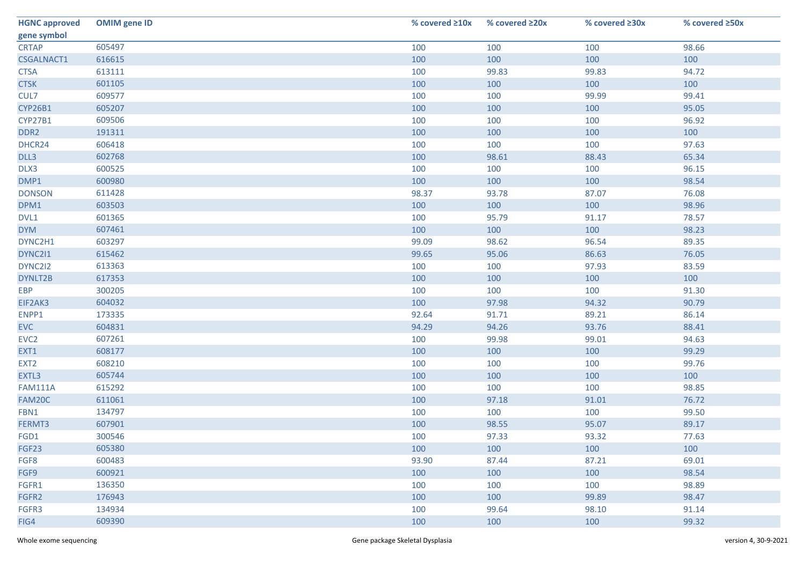| <b>HGNC approved</b> | <b>OMIM</b> gene ID | % covered $\geq 10x$ | % covered ≥20x | % covered ≥30x | % covered ≥50x |
|----------------------|---------------------|----------------------|----------------|----------------|----------------|
| gene symbol          |                     |                      |                |                |                |
| <b>CRTAP</b>         | 605497              | 100                  | 100            | 100            | 98.66          |
| CSGALNACT1           | 616615              | 100                  | 100            | 100            | 100            |
| <b>CTSA</b>          | 613111              | 100                  | 99.83          | 99.83          | 94.72          |
| <b>CTSK</b>          | 601105              | 100                  | 100            | 100            | 100            |
| CUL7                 | 609577              | 100                  | 100            | 99.99          | 99.41          |
| CYP26B1              | 605207              | 100                  | 100            | 100            | 95.05          |
| CYP27B1              | 609506              | 100                  | 100            | 100            | 96.92          |
| DDR <sub>2</sub>     | 191311              | 100                  | 100            | 100            | 100            |
| DHCR24               | 606418              | 100                  | 100            | 100            | 97.63          |
| DLL3                 | 602768              | 100                  | 98.61          | 88.43          | 65.34          |
| DLX3                 | 600525              | 100                  | 100            | 100            | 96.15          |
| DMP1                 | 600980              | 100                  | 100            | 100            | 98.54          |
| <b>DONSON</b>        | 611428              | 98.37                | 93.78          | 87.07          | 76.08          |
| DPM1                 | 603503              | 100                  | 100            | 100            | 98.96          |
| DVL1                 | 601365              | 100                  | 95.79          | 91.17          | 78.57          |
| <b>DYM</b>           | 607461              | 100                  | 100            | 100            | 98.23          |
| DYNC2H1              | 603297              | 99.09                | 98.62          | 96.54          | 89.35          |
| DYNC211              | 615462              | 99.65                | 95.06          | 86.63          | 76.05          |
| DYNC2I2              | 613363              | 100                  | 100            | 97.93          | 83.59          |
| DYNLT2B              | 617353              | 100                  | 100            | 100            | 100            |
| <b>EBP</b>           | 300205              | 100                  | 100            | 100            | 91.30          |
| EIF2AK3              | 604032              | 100                  | 97.98          | 94.32          | 90.79          |
| ENPP1                | 173335              | 92.64                | 91.71          | 89.21          | 86.14          |
| <b>EVC</b>           | 604831              | 94.29                | 94.26          | 93.76          | 88.41          |
| EVC <sub>2</sub>     | 607261              | 100                  | 99.98          | 99.01          | 94.63          |
| EXT1                 | 608177              | 100                  | 100            | 100            | 99.29          |
| EXT <sub>2</sub>     | 608210              | 100                  | 100            | 100            | 99.76          |
| EXTL3                | 605744              | 100                  | 100            | 100            | 100            |
| <b>FAM111A</b>       | 615292              | 100                  | 100            | 100            | 98.85          |
| FAM20C               | 611061              | 100                  | 97.18          | 91.01          | 76.72          |
| FBN1                 | 134797              | 100                  | 100            | 100            | 99.50          |
| FERMT3               | 607901              | 100                  | 98.55          | 95.07          | 89.17          |
| FGD1                 | 300546              | 100                  | 97.33          | 93.32          | 77.63          |
| FGF23                | 605380              | 100                  | 100            | 100            | 100            |
| FGF8                 | 600483              | 93.90                | 87.44          | 87.21          | 69.01          |
| FGF9                 | 600921              | 100                  | 100            | 100            | 98.54          |
| FGFR1                | 136350              | 100                  | 100            | 100            | 98.89          |
| FGFR2                | 176943              | 100                  | 100            | 99.89          | 98.47          |
| FGFR3                | 134934              | 100                  | 99.64          | 98.10          | 91.14          |
| FIG4                 | 609390              | 100                  | 100            | 100            | 99.32          |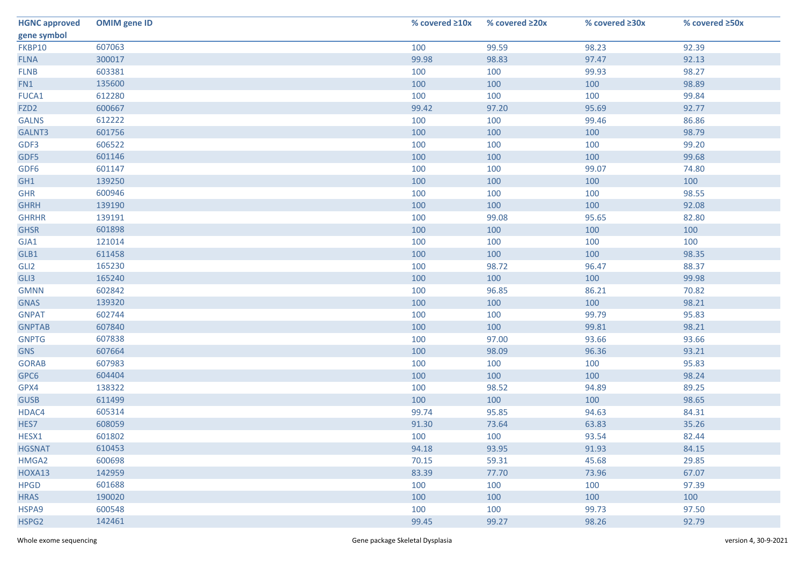| <b>HGNC approved</b> | <b>OMIM</b> gene ID | % covered ≥10x | % covered ≥20x | % covered ≥30x | % covered ≥50x |
|----------------------|---------------------|----------------|----------------|----------------|----------------|
| gene symbol          |                     |                |                |                |                |
| FKBP10               | 607063              | 100            | 99.59          | 98.23          | 92.39          |
| <b>FLNA</b>          | 300017              | 99.98          | 98.83          | 97.47          | 92.13          |
| <b>FLNB</b>          | 603381              | 100            | 100            | 99.93          | 98.27          |
| FN1                  | 135600              | 100            | 100            | 100            | 98.89          |
| FUCA1                | 612280              | 100            | 100            | 100            | 99.84          |
| FZD <sub>2</sub>     | 600667              | 99.42          | 97.20          | 95.69          | 92.77          |
| <b>GALNS</b>         | 612222              | 100            | 100            | 99.46          | 86.86          |
| GALNT3               | 601756              | 100            | 100            | 100            | 98.79          |
| GDF3                 | 606522              | 100            | 100            | 100            | 99.20          |
| GDF5                 | 601146              | 100            | 100            | 100            | 99.68          |
| GDF6                 | 601147              | 100            | 100            | 99.07          | 74.80          |
| GH1                  | 139250              | 100            | 100            | 100            | 100            |
| <b>GHR</b>           | 600946              | 100            | 100            | 100            | 98.55          |
| <b>GHRH</b>          | 139190              | 100            | 100            | 100            | 92.08          |
| <b>GHRHR</b>         | 139191              | 100            | 99.08          | 95.65          | 82.80          |
| <b>GHSR</b>          | 601898              | 100            | 100            | 100            | 100            |
| GJA1                 | 121014              | 100            | 100            | 100            | 100            |
| GLB1                 | 611458              | 100            | 100            | 100            | 98.35          |
| GLI2                 | 165230              | 100            | 98.72          | 96.47          | 88.37          |
| GLI3                 | 165240              | 100            | 100            | 100            | 99.98          |
| <b>GMNN</b>          | 602842              | 100            | 96.85          | 86.21          | 70.82          |
| <b>GNAS</b>          | 139320              | 100            | 100            | 100            | 98.21          |
| <b>GNPAT</b>         | 602744              | 100            | 100            | 99.79          | 95.83          |
| <b>GNPTAB</b>        | 607840              | 100            | 100            | 99.81          | 98.21          |
| <b>GNPTG</b>         | 607838              | 100            | 97.00          | 93.66          | 93.66          |
| <b>GNS</b>           | 607664              | 100            | 98.09          | 96.36          | 93.21          |
| <b>GORAB</b>         | 607983              | 100            | 100            | 100            | 95.83          |
| GPC6                 | 604404              | 100            | 100            | 100            | 98.24          |
| GPX4                 | 138322              | 100            | 98.52          | 94.89          | 89.25          |
| <b>GUSB</b>          | 611499              | 100            | 100            | 100            | 98.65          |
| HDAC4                | 605314              | 99.74          | 95.85          | 94.63          | 84.31          |
| HES7                 | 608059              | 91.30          | 73.64          | 63.83          | 35.26          |
| HESX1                | 601802              | 100            | 100            | 93.54          | 82.44          |
| <b>HGSNAT</b>        | 610453              | 94.18          | 93.95          | 91.93          | 84.15          |
| HMGA2                | 600698              | 70.15          | 59.31          | 45.68          | 29.85          |
| HOXA13               | 142959              | 83.39          | 77.70          | 73.96          | 67.07          |
| <b>HPGD</b>          | 601688              | 100            | 100            | 100            | 97.39          |
| <b>HRAS</b>          | 190020              | 100            | 100            | 100            | 100            |
| HSPA9                | 600548              | 100            | 100            | 99.73          | 97.50          |
| HSPG2                | 142461              | 99.45          | 99.27          | 98.26          | 92.79          |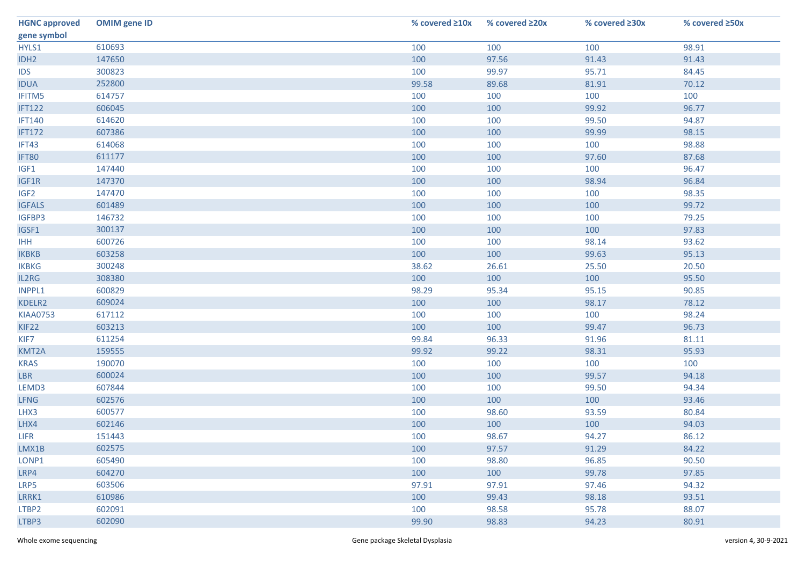| <b>HGNC approved</b> | <b>OMIM</b> gene ID | % covered $\geq 10x$ | % covered ≥20x | % covered ≥30x | % covered ≥50x |
|----------------------|---------------------|----------------------|----------------|----------------|----------------|
| gene symbol          |                     |                      |                |                |                |
| HYLS1                | 610693              | 100                  | 100            | 100            | 98.91          |
| IDH <sub>2</sub>     | 147650              | 100                  | 97.56          | 91.43          | 91.43          |
| <b>IDS</b>           | 300823              | 100                  | 99.97          | 95.71          | 84.45          |
| <b>IDUA</b>          | 252800              | 99.58                | 89.68          | 81.91          | 70.12          |
| IFITM5               | 614757              | 100                  | 100            | 100            | 100            |
| <b>IFT122</b>        | 606045              | 100                  | 100            | 99.92          | 96.77          |
| <b>IFT140</b>        | 614620              | 100                  | 100            | 99.50          | 94.87          |
| <b>IFT172</b>        | 607386              | 100                  | 100            | 99.99          | 98.15          |
| IFT43                | 614068              | 100                  | 100            | 100            | 98.88          |
| IFT80                | 611177              | 100                  | 100            | 97.60          | 87.68          |
| IGF1                 | 147440              | 100                  | 100            | 100            | 96.47          |
| IGF1R                | 147370              | 100                  | 100            | 98.94          | 96.84          |
| IGF <sub>2</sub>     | 147470              | 100                  | 100            | 100            | 98.35          |
| <b>IGFALS</b>        | 601489              | 100                  | 100            | 100            | 99.72          |
| IGFBP3               | 146732              | 100                  | 100            | 100            | 79.25          |
| IGSF1                | 300137              | 100                  | 100            | 100            | 97.83          |
| <b>IHH</b>           | 600726              | 100                  | 100            | 98.14          | 93.62          |
| <b>IKBKB</b>         | 603258              | 100                  | 100            | 99.63          | 95.13          |
| <b>IKBKG</b>         | 300248              | 38.62                | 26.61          | 25.50          | 20.50          |
| IL2RG                | 308380              | 100                  | 100            | 100            | 95.50          |
| INPPL1               | 600829              | 98.29                | 95.34          | 95.15          | 90.85          |
| KDELR2               | 609024              | 100                  | 100            | 98.17          | 78.12          |
| <b>KIAA0753</b>      | 617112              | 100                  | 100            | 100            | 98.24          |
| KIF22                | 603213              | 100                  | 100            | 99.47          | 96.73          |
| KIF7                 | 611254              | 99.84                | 96.33          | 91.96          | 81.11          |
| KMT2A                | 159555              | 99.92                | 99.22          | 98.31          | 95.93          |
| <b>KRAS</b>          | 190070              | 100                  | 100            | 100            | 100            |
| <b>LBR</b>           | 600024              | 100                  | 100            | 99.57          | 94.18          |
| LEMD3                | 607844              | 100                  | 100            | 99.50          | 94.34          |
| <b>LFNG</b>          | 602576              | 100                  | 100            | 100            | 93.46          |
| LHX3                 | 600577              | 100                  | 98.60          | 93.59          | 80.84          |
| LHX4                 | 602146              | 100                  | 100            | 100            | 94.03          |
| <b>LIFR</b>          | 151443              | 100                  | 98.67          | 94.27          | 86.12          |
| LMX1B                | 602575              | 100                  | 97.57          | 91.29          | 84.22          |
| LONP1                | 605490              | 100                  | 98.80          | 96.85          | 90.50          |
| LRP4                 | 604270              | 100                  | 100            | 99.78          | 97.85          |
| LRP5                 | 603506              | 97.91                | 97.91          | 97.46          | 94.32          |
| LRRK1                | 610986              | 100                  | 99.43          | 98.18          | 93.51          |
| LTBP2                | 602091              | 100                  | 98.58          | 95.78          | 88.07          |
| LTBP3                | 602090              | 99.90                | 98.83          | 94.23          | 80.91          |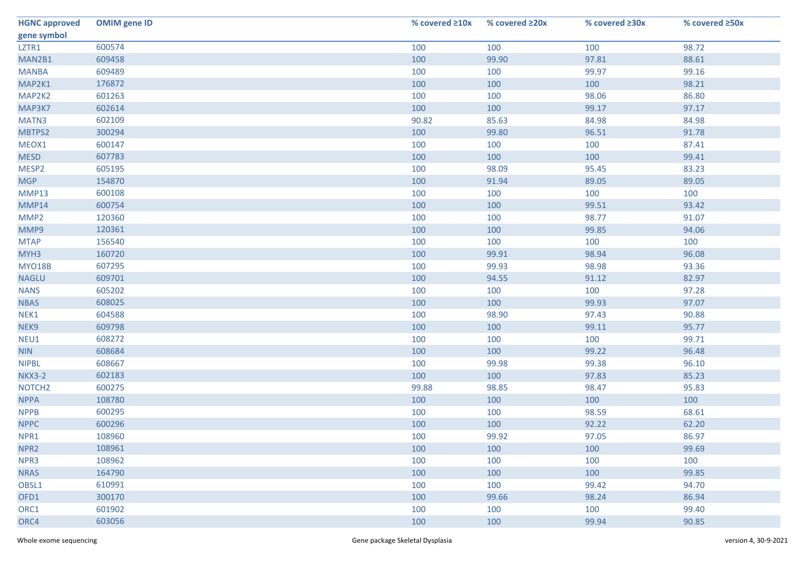| <b>HGNC approved</b> | <b>OMIM</b> gene ID | % covered ≥10x | % covered ≥20x | % covered ≥30x | % covered ≥50x |
|----------------------|---------------------|----------------|----------------|----------------|----------------|
| gene symbol          |                     |                |                |                |                |
| LZTR1                | 600574              | 100            | 100            | 100            | 98.72          |
| MAN2B1               | 609458              | 100            | 99.90          | 97.81          | 88.61          |
| <b>MANBA</b>         | 609489              | 100            | 100            | 99.97          | 99.16          |
| MAP2K1               | 176872              | 100            | 100            | 100            | 98.21          |
| MAP2K2               | 601263              | 100            | 100            | 98.06          | 86.80          |
| MAP3K7               | 602614              | 100            | 100            | 99.17          | 97.17          |
| MATN3                | 602109              | 90.82          | 85.63          | 84.98          | 84.98          |
| MBTPS2               | 300294              | 100            | 99.80          | 96.51          | 91.78          |
| MEOX1                | 600147              | 100            | 100            | 100            | 87.41          |
| <b>MESD</b>          | 607783              | 100            | 100            | 100            | 99.41          |
| MESP2                | 605195              | 100            | 98.09          | 95.45          | 83.23          |
| <b>MGP</b>           | 154870              | 100            | 91.94          | 89.05          | 89.05          |
| MMP13                | 600108              | 100            | 100            | 100            | 100            |
| MMP14                | 600754              | 100            | 100            | 99.51          | 93.42          |
| MMP <sub>2</sub>     | 120360              | 100            | 100            | 98.77          | 91.07          |
| MMP9                 | 120361              | 100            | 100            | 99.85          | 94.06          |
| <b>MTAP</b>          | 156540              | 100            | 100            | 100            | 100            |
| MYH <sub>3</sub>     | 160720              | 100            | 99.91          | 98.94          | 96.08          |
| MYO18B               | 607295              | 100            | 99.93          | 98.98          | 93.36          |
| <b>NAGLU</b>         | 609701              | 100            | 94.55          | 91.12          | 82.97          |
| <b>NANS</b>          | 605202              | 100            | 100            | 100            | 97.28          |
| <b>NBAS</b>          | 608025              | 100            | 100            | 99.93          | 97.07          |
| NEK1                 | 604588              | 100            | 98.90          | 97.43          | 90.88          |
| NEK9                 | 609798              | 100            | 100            | 99.11          | 95.77          |
| NEU1                 | 608272              | 100            | 100            | 100            | 99.71          |
| <b>NIN</b>           | 608684              | 100            | 100            | 99.22          | 96.48          |
| <b>NIPBL</b>         | 608667              | 100            | 99.98          | 99.38          | 96.10          |
| <b>NKX3-2</b>        | 602183              | 100            | 100            | 97.83          | 85.23          |
| NOTCH <sub>2</sub>   | 600275              | 99.88          | 98.85          | 98.47          | 95.83          |
| <b>NPPA</b>          | 108780              | 100            | 100            | 100            | 100            |
| <b>NPPB</b>          | 600295              | 100            | 100            | 98.59          | 68.61          |
| <b>NPPC</b>          | 600296              | 100            | 100            | 92.22          | 62.20          |
| NPR1                 | 108960              | 100            | 99.92          | 97.05          | 86.97          |
| NPR <sub>2</sub>     | 108961              | 100            | 100            | 100            | 99.69          |
| NPR3                 | 108962              | 100            | 100            | 100            | 100            |
| <b>NRAS</b>          | 164790              | 100            | 100            | 100            | 99.85          |
| OBSL1                | 610991              | 100            | 100            | 99.42          | 94.70          |
| OFD1                 | 300170              | 100            | 99.66          | 98.24          | 86.94          |
| ORC1                 | 601902              | 100            | 100            | 100            | 99.40          |
| ORC4                 | 603056              | 100            | 100            | 99.94          | 90.85          |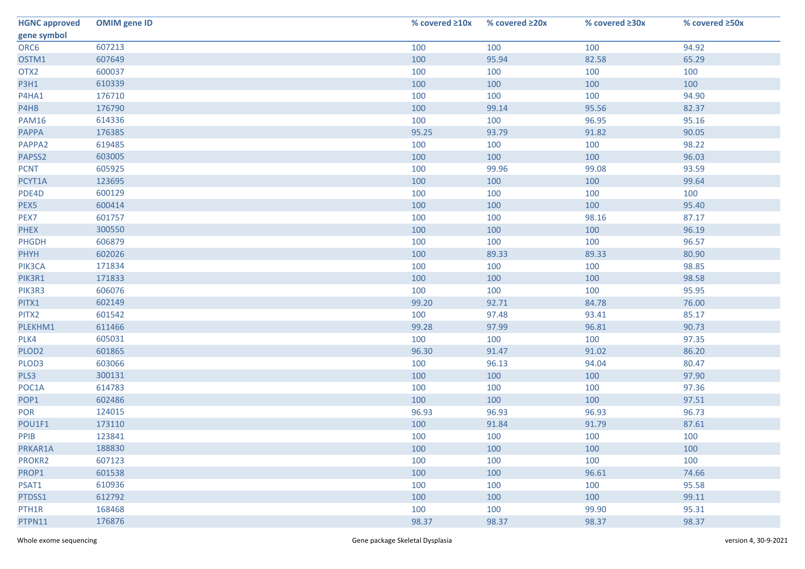| <b>HGNC approved</b> | <b>OMIM</b> gene ID | % covered ≥10x | % covered ≥20x | % covered ≥30x | % covered ≥50x |
|----------------------|---------------------|----------------|----------------|----------------|----------------|
| gene symbol          |                     |                |                |                |                |
| ORC6                 | 607213              | 100            | 100            | 100            | 94.92          |
| OSTM1                | 607649              | 100            | 95.94          | 82.58          | 65.29          |
| OTX2                 | 600037              | 100            | 100            | 100            | 100            |
| <b>P3H1</b>          | 610339              | 100            | 100            | 100            | 100            |
| P4HA1                | 176710              | 100            | 100            | 100            | 94.90          |
| P4HB                 | 176790              | 100            | 99.14          | 95.56          | 82.37          |
| <b>PAM16</b>         | 614336              | 100            | 100            | 96.95          | 95.16          |
| <b>PAPPA</b>         | 176385              | 95.25          | 93.79          | 91.82          | 90.05          |
| PAPPA2               | 619485              | 100            | 100            | 100            | 98.22          |
| PAPSS2               | 603005              | 100            | 100            | 100            | 96.03          |
| <b>PCNT</b>          | 605925              | 100            | 99.96          | 99.08          | 93.59          |
| PCYT1A               | 123695              | 100            | 100            | 100            | 99.64          |
| PDE4D                | 600129              | 100            | 100            | 100            | 100            |
| PEX5                 | 600414              | 100            | 100            | 100            | 95.40          |
| PEX7                 | 601757              | 100            | 100            | 98.16          | 87.17          |
| <b>PHEX</b>          | 300550              | 100            | 100            | 100            | 96.19          |
| PHGDH                | 606879              | 100            | 100            | 100            | 96.57          |
| <b>PHYH</b>          | 602026              | 100            | 89.33          | 89.33          | 80.90          |
| PIK3CA               | 171834              | 100            | 100            | 100            | 98.85          |
| PIK3R1               | 171833              | 100            | 100            | 100            | 98.58          |
| PIK3R3               | 606076              | 100            | 100            | 100            | 95.95          |
| PITX1                | 602149              | 99.20          | 92.71          | 84.78          | 76.00          |
| PITX2                | 601542              | 100            | 97.48          | 93.41          | 85.17          |
| PLEKHM1              | 611466              | 99.28          | 97.99          | 96.81          | 90.73          |
| PLK4                 | 605031              | 100            | 100            | 100            | 97.35          |
| PLOD <sub>2</sub>    | 601865              | 96.30          | 91.47          | 91.02          | 86.20          |
| PLOD3                | 603066              | 100            | 96.13          | 94.04          | 80.47          |
| PLS3                 | 300131              | 100            | 100            | 100            | 97.90          |
| POC1A                | 614783              | 100            | 100            | 100            | 97.36          |
| POP1                 | 602486              | 100            | 100            | 100            | 97.51          |
| POR                  | 124015              | 96.93          | 96.93          | 96.93          | 96.73          |
| POU1F1               | 173110              | 100            | 91.84          | 91.79          | 87.61          |
| PPIB                 | 123841              | 100            | 100            | 100            | 100            |
| PRKAR1A              | 188830              | 100            | 100            | 100            | 100            |
| PROKR2               | 607123              | 100            | 100            | 100            | 100            |
| PROP1                | 601538              | 100            | 100            | 96.61          | 74.66          |
| PSAT1                | 610936              | 100            | 100            | 100            | 95.58          |
| PTDSS1               | 612792              | 100            | 100            | 100            | 99.11          |
| PTH1R                | 168468              | 100            | 100            | 99.90          | 95.31          |
| PTPN11               | 176876              | 98.37          | 98.37          | 98.37          | 98.37          |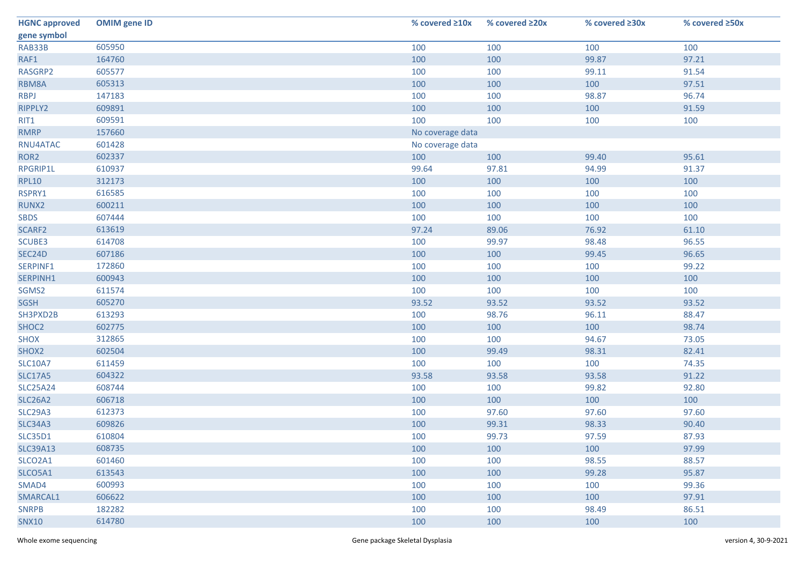| <b>HGNC approved</b> | <b>OMIM</b> gene ID | % covered ≥10x   | % covered ≥20x | % covered ≥30x | % covered ≥50x |
|----------------------|---------------------|------------------|----------------|----------------|----------------|
| gene symbol          |                     |                  |                |                |                |
| RAB33B               | 605950              | 100              | 100            | 100            | 100            |
| RAF1                 | 164760              | 100              | 100            | 99.87          | 97.21          |
| RASGRP2              | 605577              | 100              | 100            | 99.11          | 91.54          |
| RBM8A                | 605313              | 100              | 100            | 100            | 97.51          |
| <b>RBPJ</b>          | 147183              | 100              | 100            | 98.87          | 96.74          |
| RIPPLY2              | 609891              | 100              | 100            | 100            | 91.59          |
| RIT1                 | 609591              | 100              | 100            | 100            | 100            |
| <b>RMRP</b>          | 157660              | No coverage data |                |                |                |
| RNU4ATAC             | 601428              | No coverage data |                |                |                |
| ROR <sub>2</sub>     | 602337              | 100              | 100            | 99.40          | 95.61          |
| RPGRIP1L             | 610937              | 99.64            | 97.81          | 94.99          | 91.37          |
| <b>RPL10</b>         | 312173              | 100              | 100            | 100            | 100            |
| RSPRY1               | 616585              | 100              | 100            | 100            | 100            |
| RUNX2                | 600211              | 100              | 100            | 100            | 100            |
| <b>SBDS</b>          | 607444              | 100              | 100            | 100            | 100            |
| SCARF2               | 613619              | 97.24            | 89.06          | 76.92          | 61.10          |
| SCUBE3               | 614708              | 100              | 99.97          | 98.48          | 96.55          |
| SEC24D               | 607186              | 100              | 100            | 99.45          | 96.65          |
| SERPINF1             | 172860              | 100              | 100            | 100            | 99.22          |
| SERPINH1             | 600943              | 100              | 100            | 100            | 100            |
| SGMS2                | 611574              | 100              | 100            | 100            | 100            |
| <b>SGSH</b>          | 605270              | 93.52            | 93.52          | 93.52          | 93.52          |
| SH3PXD2B             | 613293              | 100              | 98.76          | 96.11          | 88.47          |
| SHOC2                | 602775              | 100              | 100            | 100            | 98.74          |
| <b>SHOX</b>          | 312865              | 100              | 100            | 94.67          | 73.05          |
| SHOX2                | 602504              | 100              | 99.49          | 98.31          | 82.41          |
| <b>SLC10A7</b>       | 611459              | 100              | 100            | 100            | 74.35          |
| <b>SLC17A5</b>       | 604322              | 93.58            | 93.58          | 93.58          | 91.22          |
| <b>SLC25A24</b>      | 608744              | 100              | 100            | 99.82          | 92.80          |
| <b>SLC26A2</b>       | 606718              | 100              | 100            | 100            | 100            |
| <b>SLC29A3</b>       | 612373              | 100              | 97.60          | 97.60          | 97.60          |
| <b>SLC34A3</b>       | 609826              | 100              | 99.31          | 98.33          | 90.40          |
| <b>SLC35D1</b>       | 610804              | 100              | 99.73          | 97.59          | 87.93          |
| <b>SLC39A13</b>      | 608735              | 100              | 100            | 100            | 97.99          |
| SLCO2A1              | 601460              | 100              | 100            | 98.55          | 88.57          |
| SLCO5A1              | 613543              | 100              | 100            | 99.28          | 95.87          |
| SMAD4                | 600993              | 100              | 100            | 100            | 99.36          |
| SMARCAL1             | 606622              | 100              | 100            | 100            | 97.91          |
| <b>SNRPB</b>         | 182282              | 100              | 100            | 98.49          | 86.51          |
| <b>SNX10</b>         | 614780              | 100              | 100            | 100            | 100            |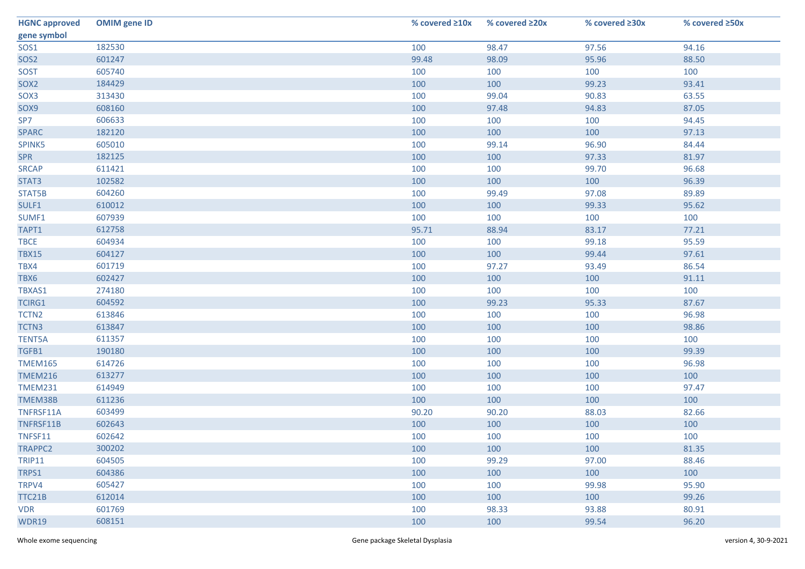| <b>HGNC approved</b> | <b>OMIM</b> gene ID | % covered ≥10x | % covered ≥20x | % covered ≥30x | % covered ≥50x |
|----------------------|---------------------|----------------|----------------|----------------|----------------|
| gene symbol          |                     |                |                |                |                |
| SOS1                 | 182530              | 100            | 98.47          | 97.56          | 94.16          |
| SOS <sub>2</sub>     | 601247              | 99.48          | 98.09          | 95.96          | 88.50          |
| SOST                 | 605740              | 100            | 100            | 100            | 100            |
| SOX <sub>2</sub>     | 184429              | 100            | 100            | 99.23          | 93.41          |
| SOX3                 | 313430              | 100            | 99.04          | 90.83          | 63.55          |
| SOX9                 | 608160              | 100            | 97.48          | 94.83          | 87.05          |
| SP7                  | 606633              | 100            | 100            | 100            | 94.45          |
| <b>SPARC</b>         | 182120              | 100            | 100            | 100            | 97.13          |
| SPINK5               | 605010              | 100            | 99.14          | 96.90          | 84.44          |
| <b>SPR</b>           | 182125              | 100            | 100            | 97.33          | 81.97          |
| <b>SRCAP</b>         | 611421              | 100            | 100            | 99.70          | 96.68          |
| STAT3                | 102582              | 100            | 100            | 100            | 96.39          |
| STAT5B               | 604260              | 100            | 99.49          | 97.08          | 89.89          |
| SULF1                | 610012              | 100            | 100            | 99.33          | 95.62          |
| SUMF1                | 607939              | 100            | 100            | 100            | 100            |
| TAPT1                | 612758              | 95.71          | 88.94          | 83.17          | 77.21          |
| <b>TBCE</b>          | 604934              | 100            | 100            | 99.18          | 95.59          |
| <b>TBX15</b>         | 604127              | 100            | 100            | 99.44          | 97.61          |
| TBX4                 | 601719              | 100            | 97.27          | 93.49          | 86.54          |
| TBX6                 | 602427              | 100            | 100            | 100            | 91.11          |
| TBXAS1               | 274180              | 100            | 100            | 100            | 100            |
| <b>TCIRG1</b>        | 604592              | 100            | 99.23          | 95.33          | 87.67          |
| TCTN <sub>2</sub>    | 613846              | 100            | 100            | 100            | 96.98          |
| TCTN3                | 613847              | 100            | 100            | 100            | 98.86          |
| <b>TENT5A</b>        | 611357              | 100            | 100            | 100            | 100            |
| TGFB1                | 190180              | 100            | 100            | 100            | 99.39          |
| <b>TMEM165</b>       | 614726              | 100            | 100            | 100            | 96.98          |
| <b>TMEM216</b>       | 613277              | 100            | 100            | 100            | 100            |
| <b>TMEM231</b>       | 614949              | 100            | 100            | 100            | 97.47          |
| TMEM38B              | 611236              | 100            | 100            | 100            | 100            |
| TNFRSF11A            | 603499              | 90.20          | 90.20          | 88.03          | 82.66          |
| TNFRSF11B            | 602643              | 100            | 100            | 100            | 100            |
| TNFSF11              | 602642              | 100            | 100            | 100            | 100            |
| TRAPPC2              | 300202              | 100            | 100            | 100            | 81.35          |
| <b>TRIP11</b>        | 604505              | 100            | 99.29          | 97.00          | 88.46          |
| TRPS1                | 604386              | 100            | 100            | 100            | 100            |
| TRPV4                | 605427              | 100            | 100            | 99.98          | 95.90          |
| TTC21B               | 612014              | 100            | 100            | 100            | 99.26          |
| <b>VDR</b>           | 601769              | 100            | 98.33          | 93.88          | 80.91          |
| <b>WDR19</b>         | 608151              | 100            | 100            | 99.54          | 96.20          |